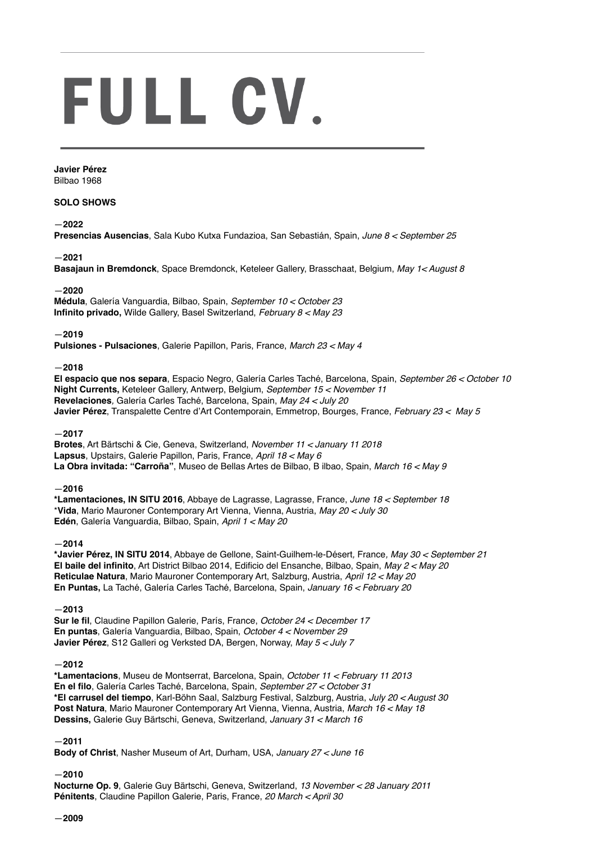# FULL CV.

**Javier Pérez** Bilbao 1968

# **SOLO SHOWS**

# —**2022**

**Presencias Ausencias**, Sala Kubo Kutxa Fundazioa, San Sebastián, Spain, *June 8 < September 25*

# —**2021**

**Basajaun in Bremdonck**, Space Bremdonck, Keteleer Gallery, Brasschaat, Belgium, *May 1< August 8*

## —**2020**

**Médula**, Galería Vanguardia, Bilbao, Spain, *September 10 < October 23* **Infinito privado,** Wilde Gallery, Basel Switzerland, *February 8 < May 23*

# —**2019**

**Pulsiones - Pulsaciones**, Galerie Papillon, Paris, France, *March 23 < May 4*

## —**2018**

**El espacio que nos separa**, Espacio Negro, Galería Carles Taché, Barcelona, Spain, *September 26 < October 10* **Night Currents,** Keteleer Gallery, Antwerp, Belgium, *September 15 < November 11* **Revelaciones***,* Galería Carles Taché, Barcelona, Spain, *May 24 < July 20* **Javier Pérez**, Transpalette Centre d'Art Contemporain, Emmetrop, Bourges, France, *February 23 < May 5*

## —**2017**

**Brotes**, Art Bärtschi & Cie, Geneva, Switzerland, *November 11 < January 11 2018* **Lapsus**, Upstairs, Galerie Papillon, Paris, France, *April 18 < May 6* **La Obra invitada: "Carroña"**, Museo de Bellas Artes de Bilbao, B ilbao, Spain, *March 16 < May 9*

## —**2016**

**\*Lamentaciones, IN SITU 2016**, Abbaye de Lagrasse, Lagrasse, France, *June 18 < September 18* \***Vida**, Mario Mauroner Contemporary Art Vienna, Vienna, Austria, *May 20 < July 30* **Edén**, Galería Vanguardia, Bilbao, Spain, *April 1 < May 20*

## —**2014**

**\*Javier Pérez, IN SITU 2014**, Abbaye de Gellone, Saint-Guilhem-le-Désert*,* France*, May 30 < September 21* **El baile del infinito**, Art District Bilbao 2014, Edificio del Ensanche, Bilbao, Spain, *May 2 < May 20* **Reticulae Natura**, Mario Mauroner Contemporary Art, Salzburg, Austria, *April 12 < May 20* **En Puntas,** La Taché, Galería Carles Taché, Barcelona, Spain, *January 16 < February 20*

## —**2013**

**Sur le fil**, Claudine Papillon Galerie, París, France, *October 24 < December 17* **En puntas**, Galería Vanguardia, Bilbao, Spain, *October 4 < November 29* **Javier Pérez**, S12 Galleri og Verksted DA, Bergen, Norway, *May 5 < July 7*

## —**2012**

**\*Lamentacions**, Museu de Montserrat, Barcelona, Spain, *October 11 < February 11 2013* **En el filo**, Galería Carles Taché, Barcelona, Spain, *September 27 < October 31* **\*El carrusel del tiempo**, Karl-Böhn Saal, Salzburg Festival, Salzburg, Austria, *July 20 < August 30* **Post Natura**, Mario Mauroner Contemporary Art Vienna, Vienna, Austria, *March 16 < May 18* **Dessins,** Galerie Guy Bärtschi, Geneva, Switzerland, *January 31 < March 16*

## —**2011**

**Body of Christ**, Nasher Museum of Art, Durham, USA, *January 27 < June 16*

# —**2010**

**Nocturne Op. 9**, Galerie Guy Bärtschi, Geneva, Switzerland, *13 November < 28 January 2011* **Pénitents**, Claudine Papillon Galerie, Paris, France, *20 March < April 30*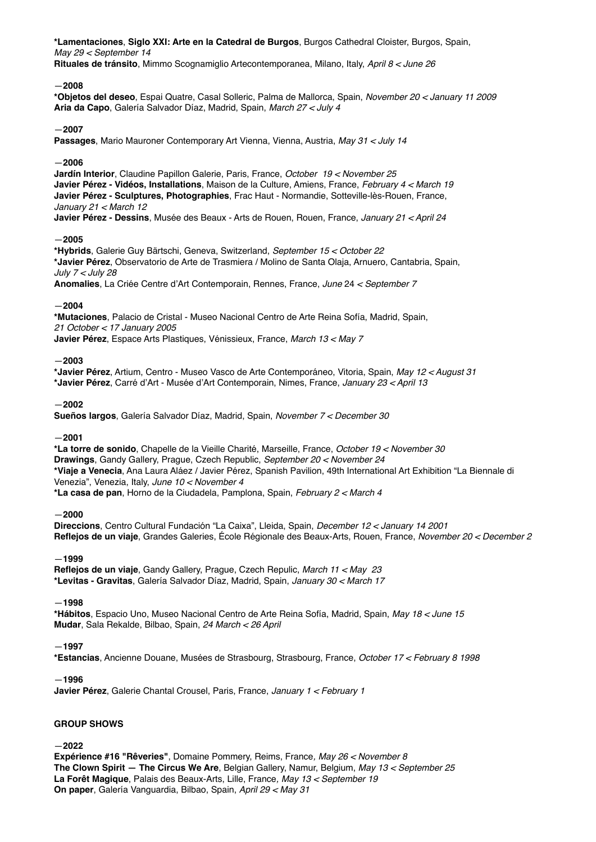**\*Lamentaciones**, **Siglo XXI: Arte en la Catedral de Burgos**, Burgos Cathedral Cloister, Burgos, Spain, *May 29 < September 14* **Rituales de tránsito**, Mimmo Scognamiglio Artecontemporanea, Milano, Italy, *April 8 < June 26*

## —**2008**

**\*Objetos del deseo**, Espai Quatre, Casal Solleric, Palma de Mallorca, Spain, *November 20 < January 11 2009* **Aria da Capo**, Galería Salvador Díaz, Madrid, Spain, *March 27 < July 4*

## —**2007**

**Passages**, Mario Mauroner Contemporary Art Vienna, Vienna, Austria, *May 31 < July 14*

## —**2006**

**Jardín Interior**, Claudine Papillon Galerie, Paris, France, *October 19 < November 25* **Javier Pérez - Vidéos, Installations**, Maison de la Culture, Amiens, France, *February 4 < March 19* **Javier Pérez - Sculptures, Photographies**, Frac Haut - Normandie, Sotteville-lès-Rouen, France, *January 21 < March 12*

**Javier Pérez - Dessins**, Musée des Beaux - Arts de Rouen, Rouen, France, *January 21 < April 24*

## —**2005**

**\*Hybrids**, Galerie Guy Bärtschi, Geneva, Switzerland, *September 15 < October 22* **\*Javier Pérez**, Observatorio de Arte de Trasmiera / Molino de Santa Olaja, Arnuero, Cantabria, Spain, *July 7 < July 28*

**Anomalies**, La Criée Centre d'Art Contemporain, Rennes, France, *June* 24 *< September 7*

## —**2004**

**\*Mutaciones**, Palacio de Cristal - Museo Nacional Centro de Arte Reina Sofía, Madrid, Spain, *21 October < 17 January 2005*

**Javier Pérez**, Espace Arts Plastiques, Vénissieux, France, *March 13 < May 7*

## —**2003**

**\*Javier Pérez**, Artium, Centro - Museo Vasco de Arte Contemporáneo, Vitoria, Spain, *May 12 < August 31* **\*Javier Pérez**, Carré d'Art - Musée d'Art Contemporain, Nimes, France, *January 23 < April 13*

## —**2002**

**Sueños largos**, Galería Salvador Díaz, Madrid, Spain, *November 7 < December 30*

## —**2001**

**\*La torre de sonido**, Chapelle de la Vieille Charité, Marseille, France, *October 19 < November 30* **Drawings**, Gandy Gallery, Prague, Czech Republic, *September 20 < November 24* **\*Viaje a Venecia**, Ana Laura Aláez / Javier Pérez, Spanish Pavilion, 49th International Art Exhibition "La Biennale di Venezia", Venezia, Italy, *June 10 < November 4* **\*La casa de pan**, Horno de la Ciudadela, Pamplona, Spain, *February 2 < March 4*

## —**2000**

**Direccions**, Centro Cultural Fundación "La Caixa", Lleida, Spain, *December 12 < January 14 2001*  **Reflejos de un viaje**, Grandes Galeries, École Régionale des Beaux-Arts, Rouen, France, *November 20 < December 2*

## —**1999**

**Reflejos de un viaje**, Gandy Gallery, Prague, Czech Repulic, *March 11 < May 23* **\*Levitas - Gravitas**, Galería Salvador Díaz, Madrid, Spain, *January 30 < March 17*

## —**1998**

**\*Hábitos**, Espacio Uno, Museo Nacional Centro de Arte Reina Sofía, Madrid, Spain, *May 18 < June 15* **Mudar**, Sala Rekalde, Bilbao, Spain, *24 March < 26 April*

## —**1997**

**\*Estancias**, Ancienne Douane, Musées de Strasbourg, Strasbourg, France, *October 17 < February 8 1998*

## —**1996**

**Javier Pérez**, Galerie Chantal Crousel, Paris, France, *January 1 < February 1*

## **GROUP SHOWS**

## —**2022**

**Expérience #16 "Rêveries"**, Domaine Pommery, Reims, France*, May 26 < November 8*  **The Clown Spirit — The Circus We Are**, Belgian Gallery, Namur, Belgium, *May 13 < September 25* **La Forêt Magique**, Palais des Beaux-Arts, Lille, France*, May 13 < September 19*  **On paper**, Galería Vanguardia, Bilbao, Spain, *April 29 < May 31*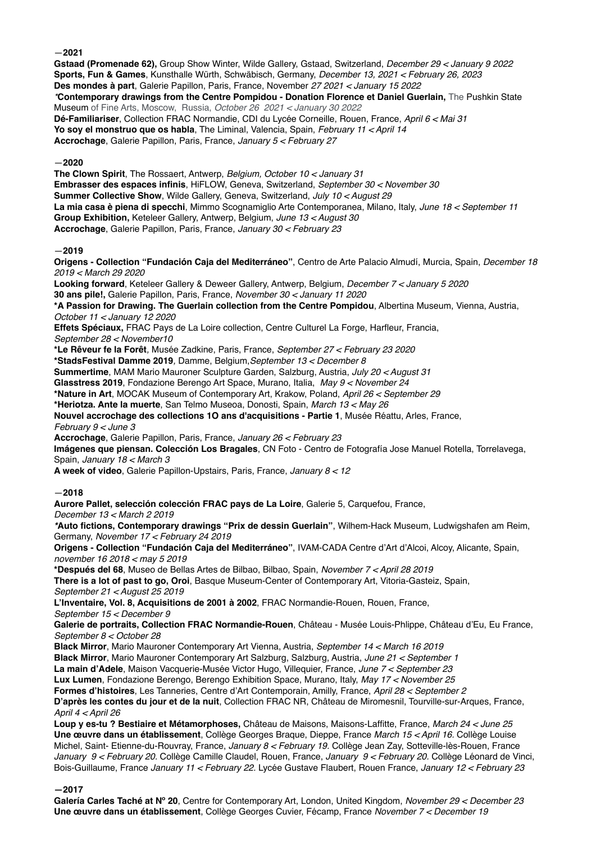—**2021**

**Gstaad (Promenade 62),** Group Show Winter, Wilde Gallery, Gstaad, Switzerland, *December 29 < January 9 2022*  **Sports, Fun & Games**, Kunsthalle Würth, Schwäbisch, Germany, *December 13, 2021 < February 26, 2023* **Des mondes à part**, Galerie Papillon, Paris, France, November *27 2021 < January 15 2022 \****Contemporary drawings from the Centre Pompidou - Donation Florence et Daniel Guerlain,** The Pushkin State Museum of Fine Arts, Moscow, Russia, *October 26 2021 < January 30 2022*  **Dé-Familiariser**, Collection FRAC Normandie, CDI du Lycée Corneille, Rouen, France, *April 6 < Mai 31* **Yo soy el monstruo que os habla**, The Liminal, Valencia, Spain, *February 11 < April 14* **Accrochage**, Galerie Papillon, Paris, France, *January 5 < February 27*

—**2020** 

**The Clown Spirit**, The Rossaert, Antwerp, *Belgium, October 10 < January 31* **Embrasser des espaces infinis**, HiFLOW, Geneva, Switzerland, *September 30 < November 30* **Summer Collective Show**, Wilde Gallery, Geneva, Switzerland, *July 10 < August 29* **La mia casa è piena di specchi**, Mimmo Scognamiglio Arte Contemporanea, Milano, Italy, *June 18 < September 11* **Group Exhibition,** Keteleer Gallery, Antwerp, Belgium, *June 13 < August 30* **Accrochage**, Galerie Papillon, Paris, France, *January 30 < February 23*

# —**2019**

**Origens - Collection "Fundación Caja del Mediterráneo"**, Centro de Arte Palacio Almudí, Murcia, Spain, *December 18 2019 < March 29 2020*

**Looking forward**, Keteleer Gallery & Deweer Gallery, Antwerp, Belgium, *December 7 < January 5 2020* **30 ans pile!,** Galerie Papillon, Paris, France, *November 30 < January 11 2020*

**\*A Passion for Drawing. The Guerlain collection from the Centre Pompidou**, Albertina Museum, Vienna, Austria, *October 11 < January 12 2020*

**Effets Spéciaux,** FRAC Pays de La Loire collection, Centre Culturel La Forge, Harfleur, Francia, *September 28 < November10* 

**\*Le Rêveur fe la Forêt***,* Musée Zadkine, Paris, France, *September 27 < February 23 2020*

**\*StadsFestival Damme 2019***,* Damme, Belgium,*September 13 < December 8*

**Summertime**, MAM Mario Mauroner Sculpture Garden, Salzburg, Austria, *July 20 < August 31*

**Glasstress 2019**, Fondazione Berengo Art Space, Murano, Italia, *May 9 < November 24*

**\*Nature in Art**, MOCAK Museum of Contemporary Art, Krakow, Poland, *April 26 < September 29*

**\*Heriotza. Ante la muerte**, San Telmo Museoa, Donosti, Spain, *March 13 < May 26*

**Nouvel accrochage des collections 1O ans d'acquisitions - Partie 1**, Musée Réattu, Arles, France,

*February 9 < June 3*

**Accrochage**, Galerie Papillon, Paris, France, *January 26 < February 23*

**Imágenes que piensan. Colección Los Bragales**, CN Foto - Centro de Fotografía Jose Manuel Rotella, Torrelavega, Spain, *January 18 < March 3*

**A week of video**, Galerie Papillon-Upstairs, Paris, France, *January 8 < 12*

## —**2018**

**Aurore Pallet, selección colección FRAC pays de La Loire**, Galerie 5, Carquefou, France,

*December 13 < March 2 2019*

*\****Auto fictions, Contemporary drawings "Prix de dessin Guerlain"**, Wilhem-Hack Museum, Ludwigshafen am Reim, Germany, *November 17 < February 24 2019*

**Origens - Collection "Fundación Caja del Mediterráneo"**, IVAM-CADA Centre d'Art d'Alcoi, Alcoy, Alicante, Spain, *november 16 2018 < may 5 2019*

**\*Después del 68**, Museo de Bellas Artes de Bilbao, Bilbao, Spain, *November 7 < April 28 2019*

**There is a lot of past to go, Oroi**, Basque Museum-Center of Contemporary Art, Vitoria-Gasteiz, Spain, *September 21 < August 25 2019*

**L'Inventaire, Vol. 8, Acquisitions de 2001 à 2002**, FRAC Normandie-Rouen, Rouen, France,

*September 15 < December 9*

**Galerie de portraits, Collection FRAC Normandie-Rouen**, Château - Musée Louis-Phlippe, Château d'Eu, Eu France, *September 8 < October 28*

**Black Mirror**, Mario Mauroner Contemporary Art Vienna, Austria, *September 14 < March 16 2019*

**Black Mirror**, Mario Mauroner Contemporary Art Salzburg, Salzburg, Austria, *June 21 < September 1*

**La main d'Adele**, Maison Vacquerie-Musée Victor Hugo, Villequier, France, *June 7 < September 23*

**Lux Lumen**, Fondazione Berengo, Berengo Exhibition Space, Murano, Italy, *May 17 < November 25*

**Formes d'histoires**, Les Tanneries, Centre d'Art Contemporain, Amilly, France, *April 28 < September 2*

**D'après les contes du jour et de la nuit**, Collection FRAC NR, Château de Miromesnil, Tourville-sur-Arques, France, *April 4 < April 26*

**Loup y es-tu ? Bestiaire et Métamorphoses,** Château de Maisons, Maisons-Laffitte, France, *March 24 < June 25* **Une œuvre dans un établissement**, Collège Georges Braque, Dieppe, France *March 15 < April 16.* Collège Louise Michel, Saint- Etienne-du-Rouvray, France, *January 8 < February 19.* Collège Jean Zay, Sotteville-lès-Rouen, France *January 9 < February 20.* Collège Camille Claudel, Rouen, France, *January 9 < February 20.* Collège Léonard de Vinci, Bois-Guillaume, France *January 11 < February 22.* Lycée Gustave Flaubert, Rouen France, *January 12 < February 23*

## **—2017**

**Galería Carles Taché at Nº 20**, Centre for Contemporary Art, London, United Kingdom, *November 29 < December 23* **Une œuvre dans un établissement**, Collège Georges Cuvier, Fécamp, France *November 7 < December 19*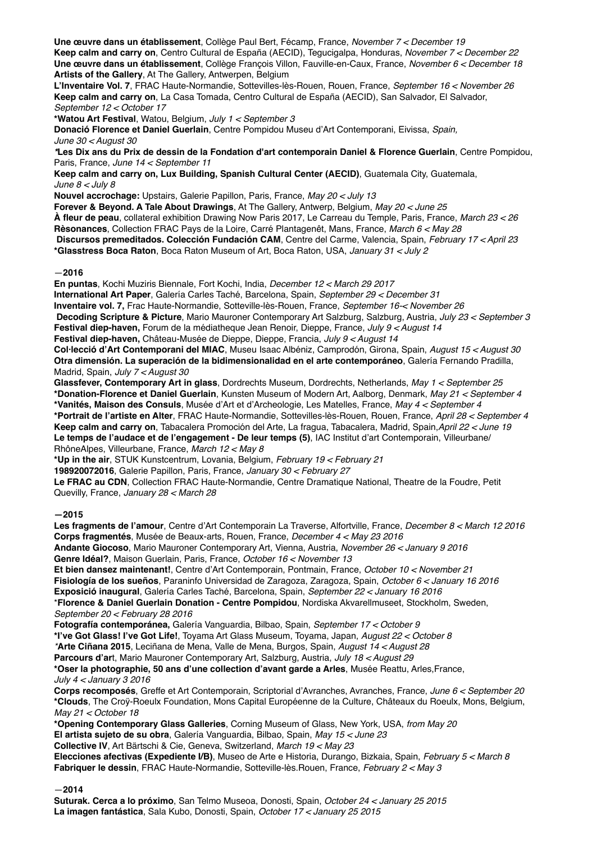**Une œuvre dans un établissement**, Collège Paul Bert, Fécamp, France, *November 7 < December 19* **Keep calm and carry on**, Centro Cultural de España (AECID), Tegucigalpa, Honduras, *November 7 < December 22* **Une œuvre dans un établissement**, Collège François Villon, Fauville-en-Caux, France, *November 6 < December 18* **Artists of the Gallery**, At The Gallery, Antwerpen, Belgium

**L'Inventaire Vol. 7**, FRAC Haute-Normandie, Sottevilles-lès-Rouen, Rouen, France, *September 16 < November 26* **Keep calm and carry on**, La Casa Tomada, Centro Cultural de España (AECID), San Salvador, El Salvador, *September 12 < October 17*

**\*Watou Art Festival**, Watou, Belgium, *July 1 < September 3* **Donació Florence et Daniel Guerlain**, Centre Pompidou Museu d'Art Contemporani, Eivissa, *Spain,* 

*June 30 < August 30*

*\****Les Dix ans du Prix de dessin de la Fondation d'art contemporain Daniel & Florence Guerlain**, Centre Pompidou, Paris, France, *June 14 < September 11*

**Keep calm and carry on, Lux Building, Spanish Cultural Center (AECID)**, Guatemala City, Guatemala, *June 8 < July 8*

**Nouvel accrochage:** Upstairs, Galerie Papillon, Paris, France, *May 20 < July 13*

**Forever & Beyond. A Tale About Drawings**, At The Gallery, Antwerp, Belgium, *May 20 < June 25*

**À fleur de peau**, collateral exhibition Drawing Now Paris 2017, Le Carreau du Temple, Paris, France, *March 23 < 26* **Rèsonances**, Collection FRAC Pays de la Loire, Carré Plantagenêt, Mans, France, *March 6 < May 28*

**Discursos premeditados. Colección Fundación CAM**, Centre del Carme, Valencia, Spain, *February 17 < April 23*

**\*Glasstress Boca Raton**, Boca Raton Museum of Art, Boca Raton, USA, *January 31 < July 2*

—**2016**

**En puntas**, Kochi Muziris Biennale, Fort Kochi, India, *December 12 < March 29 2017* **International Art Paper**, Galería Carles Taché, Barcelona, Spain, *September 29 < December 31* **Inventaire vol. 7,** Frac Haute-Normandie, Sotteville-lès-Rouen, France, *September 16-< November 26* **Decoding Scripture & Picture**, Mario Mauroner Contemporary Art Salzburg, Salzburg, Austria, *July 23 < September 3* **Festival diep-haven,** Forum de la médiatheque Jean Renoir, Dieppe, France, *July 9 < August 14*

**Festival diep-haven,** Château-Musée de Dieppe, Dieppe, Francia, *July 9 < August 14*

**Col·lecció d'Art Contemporani del MIAC**, Museu Isaac Albéniz, Camprodón, Girona, Spain, *August 15 < August 30* **Otra dimensión. La superación de la bidimensionalidad en el arte contemporáneo**, Galería Fernando Pradilla, Madrid, Spain, *July 7 < August 30*

**Glassfever, Contemporary Art in glass**, Dordrechts Museum, Dordrechts, Netherlands, *May 1 < September 25* **\*Donation-Florence et Daniel Guerlain**, Kunsten Museum of Modern Art, Aalborg, Denmark, *May 21 < September 4* **\*Vanités, Maison des Consuls**, Musée d'Art et d'Archeologie, Les Matelles, France, *May 4 < September 4*  **\*Portrait de l'artiste en Alter**, FRAC Haute-Normandie, Sottevilles-lès-Rouen, Rouen, France, *April 28 < September 4* **Keep calm and carry on**, Tabacalera Promoción del Arte, La fragua, Tabacalera, Madrid, Spain,*April 22 < June 19* **Le temps de l'audace et de l'engagement - De leur temps (5)**, IAC Institut d'art Contemporain, Villeurbane/ RhôneAlpes, Villeurbane, France, *March 12 < May 8*

**\*Up in the air**, STUK Kunstcentrum, Lovania, Belgium, *February 19 < February 21*

**198920072016**, Galerie Papillon, Paris, France, *January 30 < February 27*

**Le FRAC au CDN**, Collection FRAC Haute-Normandie, Centre Dramatique National, Theatre de la Foudre, Petit Quevilly, France, *January 28 < March 28*

**—2015**

**Les fragments de l'amour**, Centre d'Art Contemporain La Traverse, Alfortville, France, *December 8 < March 12 2016* **Corps fragmentés**, Musée de Beaux-arts, Rouen, France, *December 4 < May 23 2016* **Andante Giocoso**, Mario Mauroner Contemporary Art, Vienna, Austria, *November 26 < January 9 2016* **Genre Idéal?**, Maison Guerlain, Paris, France, *October 16 < November 13* **Et bien dansez maintenant!**, Centre d'Art Contemporain, Pontmain, France, *October 10 < November 21* **Fisiología de los sueños**, Paraninfo Universidad de Zaragoza, Zaragoza, Spain, *October 6 < January 16 2016* **Exposició inaugural**, Galería Carles Taché, Barcelona, Spain, *September 22 < January 16 2016* \***Florence & Daniel Guerlain Donation - Centre Pompidou**, Nordiska Akvarellmuseet, Stockholm, Sweden, *September 20 < February 28 2016* **Fotografía contemporánea,** Galería Vanguardia, Bilbao, Spain, *September 17 < October 9* **\*I've Got Glass! I've Got Life!**, Toyama Art Glass Museum, Toyama, Japan, *August 22 < October 8 \****Arte Ciñana 2015**, Leciñana de Mena, Valle de Mena, Burgos, Spain, *August 14 < August 28* **Parcours d'ar**t, Mario Mauroner Contemporary Art, Salzburg, Austria, *July 18 < August 29* **\*Oser la photographie, 50 ans d'une collection d'avant garde a Arles**, Musée Reattu, Arles,France, *July 4 < January 3 2016* **Corps recomposés**, Greffe et Art Contemporain, Scriptorial d'Avranches, Avranches, France, *June 6 < September 20* **\*Clouds**, The Croÿ-Roeulx Foundation, Mons Capital Européenne de la Culture, Châteaux du Roeulx, Mons, Belgium, *May 21 < October 18* **\*Opening Contemporary Glass Galleries**, Corning Museum of Glass, New York, USA, *from May 20* **El artista sujeto de su obra**, Galería Vanguardia, Bilbao, Spain, *May 15 < June 23* **Collective IV**, Art Bärtschi & Cie, Geneva, Switzerland, *March 19 < May 23*

**Elecciones afectivas (Expediente I/B)**, Museo de Arte e Historia, Durango, Bizkaia, Spain, *February 5 < March 8* **Fabriquer le dessin**, FRAC Haute-Normandie, Sotteville-lès.Rouen, France, *February 2 < May 3*

—**2014**

**Suturak. Cerca a lo próximo**, San Telmo Museoa, Donosti, Spain, *October 24 < January 25 2015* **La imagen fantástica**, Sala Kubo, Donosti, Spain, *October 17 < January 25 2015*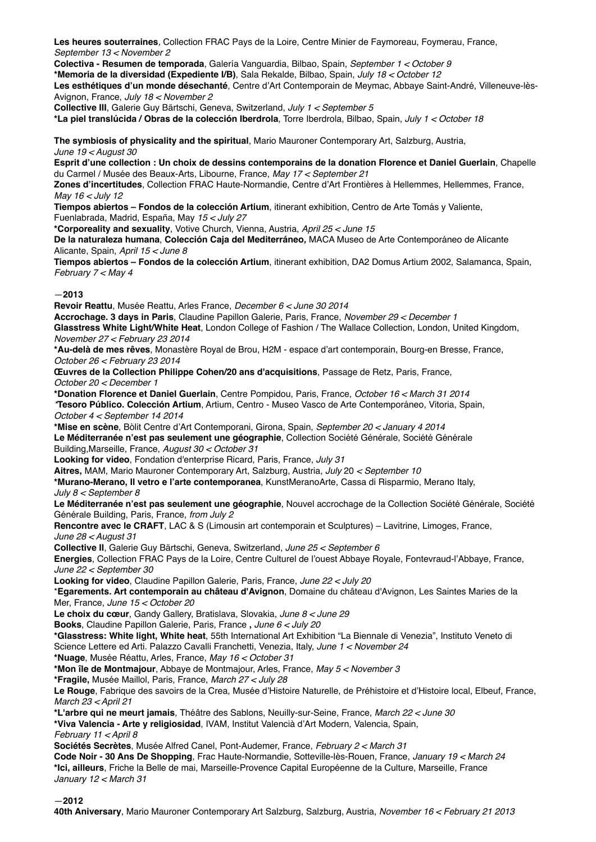**Les heures souterraines***,* Collection FRAC Pays de la Loire, Centre Minier de Faymoreau, Foymerau, France, *September 13 < November 2*

**Colectiva - Resumen de temporada**, Galería Vanguardia, Bilbao, Spain, *September 1 < October 9*

**\*Memoria de la diversidad (Expediente I/B)**, Sala Rekalde, Bilbao, Spain, *July 18 < October 12*

**Les esthétiques d'un monde désechanté**, Centre d'Art Contemporain de Meymac, Abbaye Saint-André, Villeneuve-lès-Avignon, France, *July 18 < November 2*

**Collective III**, Galerie Guy Bärtschi, Geneva, Switzerland, *July 1 < September 5* **\*La piel translúcida / Obras de la colección Iberdrola**, Torre Iberdrola, Bilbao, Spain, *July 1 < October 18*

**The symbiosis of physicality and the spiritual**, Mario Mauroner Contemporary Art, Salzburg, Austria, *June 19 < August 30*

**Esprit d'une collection : Un choix de dessins contemporains de la donation Florence et Daniel Guerlain**, Chapelle du Carmel / Musée des Beaux-Arts, Libourne, France, *May 17 < September 21*

**Zones d'incertitudes**, Collection FRAC Haute-Normandie, Centre d'Art Frontières à Hellemmes, Hellemmes, France, *May 16 < July 12*

**Tiempos abiertos – Fondos de la colección Artium**, itinerant exhibition, Centro de Arte Tomás y Valiente, Fuenlabrada, Madrid, España, May *15 < July 27* 

**\*Corporeality and sexuality**, Votive Church, Vienna, Austria, *April 25 < June 15*

**De la naturaleza humana**, **Colección Caja del Mediterráneo***,* MACA Museo de Arte Contemporáneo de Alicante Alicante, Spain, *April 15 < June 8*

**Tiempos abiertos – Fondos de la colección Artium**, itinerant exhibition, DA2 Domus Artium 2002, Salamanca, Spain, *February 7 < May 4*

# —**2013**

**Revoir Reattu**, Musée Reattu, Arles France, *December 6 < June 30 2014*

**Accrochage. 3 days in Paris**, Claudine Papillon Galerie, Paris, France, *November 29 < December 1* **Glasstress White Light/White Heat**, London College of Fashion / The Wallace Collection, London, United Kingdom, *November 27 < February 23 2014*

**\*Au-delà de mes rêves**, Monastère Royal de Brou, H2M - espace d'art contemporain, Bourg-en Bresse, France, *October 26 < February 23 2014*

**Œuvres de la Collection Philippe Cohen/20 ans d'acquisitions**, Passage de Retz, Paris, France, *October 20 < December 1*

**\*Donation Florence et Daniel Guerlain**, Centre Pompidou, Paris, France, *October 16 < March 31 2014 \****Tesoro Público. Colección Artium**, Artium, Centro - Museo Vasco de Arte Contemporáneo, Vitoria, Spain, *October 4 < September 14 2014*

**\*Mise en scène**, Bòlit Centre d'Art Contemporani, Girona, Spain, *September 20 < January 4 2014* **Le Méditerranée n'est pas seulement une géographie**, Collection Société Générale, Société Générale Building,Marseille, France, *August 30 < October 31*

**Looking for video**, Fondation d'enterprise Ricard, Paris, France, *July 31*

**Aitres,** MAM, Mario Mauroner Contemporary Art, Salzburg, Austria, *July* 20 *< September 10*

**\*Murano-Merano, Il vetro e l'arte contemporanea**, KunstMeranoArte, Cassa di Risparmio, Merano Italy, *July 8 < September 8*

**Le Méditerranée n'est pas seulement une géographie**, Nouvel accrochage de la Collection Société Générale, Société Générale Building, Paris, France, *from July 2*

**Rencontre avec le CRAFT**, LAC & S (Limousin art contemporain et Sculptures) – Lavitrine, Limoges, France, *June 28 < August 31*

**Collective II**, Galerie Guy Bärtschi, Geneva, Switzerland, *June 25 < September 6*

**Energies**, Collection FRAC Pays de la Loire, Centre Culturel de l'ouest Abbaye Royale, Fontevraud-l'Abbaye, France, *June 22 < September 30*

**Looking for video**, Claudine Papillon Galerie, Paris, France, *June 22 < July 20*

\***Egarements. Art contemporain au château d'Avignon**, Domaine du château d'Avignon, Les Saintes Maries de la Mer, France, *June 15 < October 20*

**Le choix du cœur**, Gandy Gallery, Bratislava, Slovakia, *June 8 < June 29*

**Books**, Claudine Papillon Galerie, Paris, France **,** *June 6 < July 20*

**\*Glasstress: White light, White heat**, 55th International Art Exhibition "La Biennale di Venezia", Instituto Veneto di Science Lettere ed Arti. Palazzo Cavalli Franchetti, Venezia, Italy, *June 1 < November 24*

**\*Nuage**, Musée Réattu, Arles, France, *May 16 < October 31*

**\*Mon île de Montmajour**, Abbaye de Montmajour, Arles, France, *May 5 < November 3*

**\*Fragile,** Musée Maillol, Paris, France, *March 27 < July 28*

**Le Rouge**, Fabrique des savoirs de la Crea, Musée d'Histoire Naturelle, de Préhistoire et d'Histoire local, Elbeuf, France, *March 23 < April 21*

**\*L'arbre qui ne meurt jamais***,* Théâtre des Sablons, Neuilly-sur-Seine, France, *March 22 < June 30*

**\*Viva Valencia - Arte y religiosidad**, IVAM, Institut Valencià d'Art Modern, Valencia, Spain, *February 11 < April 8*

**Sociétés Secrètes**, Musée Alfred Canel, Pont-Audemer, France, *February 2 < March 31*

**Code Noir - 30 Ans De Shopping**, Frac Haute-Normandie, Sotteville-lès-Rouen, France, *January 19 < March 24* **\*Ici, ailleurs**, Friche la Belle de mai, Marseille-Provence Capital Européenne de la Culture, Marseille, France *January 12 < March 31*

—**2012**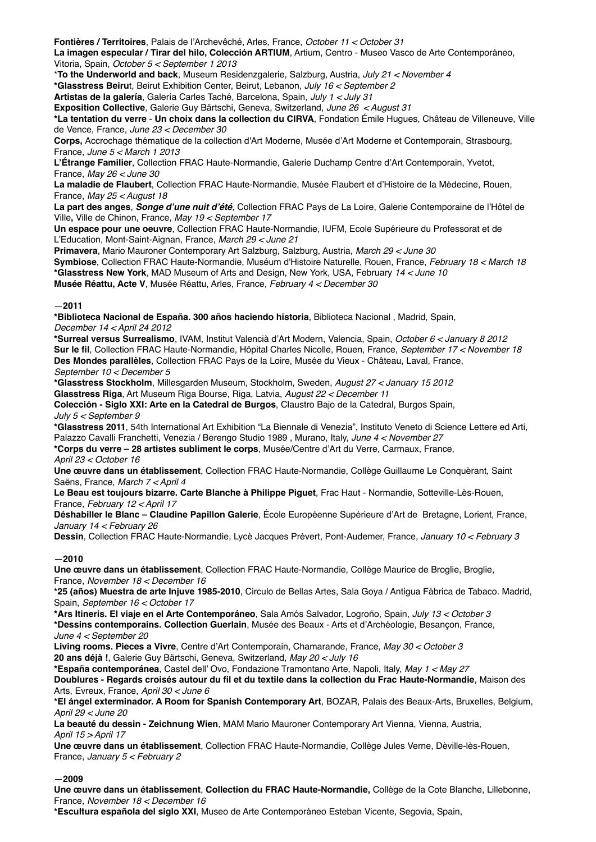**Fontières / Territoires**, Palais de l'Archevêché, Arles, France, *October 11 < October 31*

**La imagen especular / Tirar del hilo, Colección ARTIUM**, Artium, Centro - Museo Vasco de Arte Contemporáneo, Vitoria, Spain, *October 5 < September 1 2013*

\***To the Underworld and back**, Museum Residenzgalerie, Salzburg, Austria, *July 21 < November 4*

**\*Glasstress Beiru**t, Beirut Exhibition Center, Beirut, Lebanon, *July 16 < September 2*

**Artistas de la galería**, Galería Carles Taché, Barcelona, Spain, *July 1 < July 31*

**Exposition Collective**, Galerie Guy Bärtschi, Geneva, Switzerland, *June 26 < August 31*

**\*La tentation du verre** - **Un choix dans la collection du CIRVA**, Fondation Émile Hugues, Château de Villeneuve, Ville de Vence, France, *June 23 < December 30*

**Corps,** Accrochage thématique de la collection d'Art Moderne, Musée d'Art Moderne et Contemporain, Strasbourg, France, *June 5 < March 1 2013*

**L'Étrange Familier**, Collection FRAC Haute-Normandie, Galerie Duchamp Centre d'Art Contemporain, Yvetot, France, *May 26 < June 30*

**La maladie de Flaubert**, Collection FRAC Haute-Normandie, Musée Flaubert et d'Histoire de la Médecine, Rouen, France, *May 25 < August 18*

**La part des anges**, *Songe d'une nuit d'été,* Collection FRAC Pays de La Loire, Galerie Contemporaine de l'Hôtel de Ville**,** Ville de Chinon, France, *May 19 < September 17*

**Un espace pour une oeuvre**, Collection FRAC Haute-Normandie, IUFM, Ecole Supérieure du Professorat et de L'Education, Mont-Saint-Aignan, France, *March 29 < June 21*

**Primavera**, Mario Mauroner Contemporary Art Salzburg, Salzburg, Austria, *March 29 < June 30*

**Symbiose**, Collection FRAC Haute-Normandie, Muséum d'Histoire Naturelle, Rouen, France, *February 18 < March 18* **\*Glasstress New York**, MAD Museum of Arts and Design, New York, USA, February *14 < June 10*

**Musée Réattu, Acte V**, Musée Réattu, Arles, France, *February 4 < December 30*

# —**2011**

**\*Biblioteca Nacional de España. 300 años haciendo historia**, Biblioteca Nacional , Madrid, Spain, *December 14 < April 24 2012*

**\*Surreal versus Surrealismo**, IVAM, Institut Valencià d'Art Modern, Valencia, Spain, *October 6 < January 8 2012* **Sur le fil**, Collection FRAC Haute-Normandie, Hôpital Charles Nicolle, Rouen, France, *September 17 < November 18* **Des Mondes parallèles**, Collection FRAC Pays de la Loire, Musée du Vieux - Château, Laval, France, *September 10 < December 5*

**\*Glasstress Stockholm**, Millesgarden Museum, Stockholm, Sweden, *August 27 < January 15 2012* **Glasstress Riga**, Art Museum Riga Bourse, Riga, Latvia, *August 22 < December 11*

**Colección - Siglo XXI: Arte en la Catedral de Burgos**, Claustro Bajo de la Catedral, Burgos Spain, *July 5 < September 9*

**\*Glasstress 2011**, 54th International Art Exhibition "La Biennale di Venezia", Instituto Veneto di Science Lettere ed Arti, Palazzo Cavalli Franchetti, Venezia / Berengo Studio 1989 , Murano, Italy, *June 4 < November 27*

**\*Corps du verre – 28 artistes subliment le corps**, Musée/Centre d'Art du Verre, Carmaux, France, *April 23 < October 16*

**Une œuvre dans un établissement**, Collection FRAC Haute-Normandie, Collège Guillaume Le Conquèrant, Saint Saëns, France, *March 7 < April 4*

**Le Beau est toujours bizarre. Carte Blanche à Philippe Piguet**, Frac Haut - Normandie, Sotteville-Lès-Rouen, France, *February 12 < April 17*

**Déshabiller le Blanc – Claudine Papillon Galerie**, École Européenne Supérieure d'Art de Bretagne, Lorient, France, *January 14 < February 26*

**Dessin**, Collection FRAC Haute-Normandie, Lycè Jacques Prévert, Pont-Audemer, France, *January 10 < February 3*

## —**2010**

**Une œuvre dans un établissement**, Collection FRAC Haute-Normandie, Collège Maurice de Broglie, Broglie, France, *November 18 < December 16*

**\*25 (años) Muestra de arte Injuve 1985-2010**, Circulo de Bellas Artes, Sala Goya / Antigua Fábrica de Tabaco. Madrid, Spain, *September 16 < October 17*

**\*Ars Itineris. El viaje en el Arte Contemporáneo**, Sala Amós Salvador, Logroño, Spain, *July 13 < October 3* **\*Dessins contemporains. Collection Guerlain**, Musée des Beaux - Arts et d'Archéologie, Besançon, France, *June 4 < September 20*

**Living rooms. Pieces a Vivre**, Centre d'Art Contemporain, Chamarande, France, *May 30 < October 3* **20 ans déjà !**, Galerie Guy Bärtschi, Geneva, Switzerland, *May 20 < July 16*

**\*España contemporánea**, Castel dell' Ovo, Fondazione Tramontano Arte, Napoli, Italy, *May 1 < May 27*

**Doublures - Regards croisés autour du fil et du textile dans la collection du Frac Haute-Normandie**, Maison des Arts, Evreux, France, *April 30 < June 6*

**\*El ángel exterminador. A Room for Spanish Contemporary Art**, BOZAR, Palais des Beaux-Arts, Bruxelles, Belgium, *April 29 < June 20*

**La beauté du dessin - Zeichnung Wien***,* MAM Mario Mauroner Contemporary Art Vienna, Vienna, Austria, *April 15 > April 17*

**Une œuvre dans un établissement**, Collection FRAC Haute-Normandie, Collège Jules Verne, Dèville-lès-Rouen, France, *January 5 < February 2*

## —**2009**

**Une œuvre dans un établissement**, **Collection du FRAC Haute-Normandie,** Collège de la Cote Blanche, Lillebonne, France, *November 18 < December 16*

**\*Escultura española del siglo XXI**, Museo de Arte Contemporáneo Esteban Vicente, Segovia, Spain,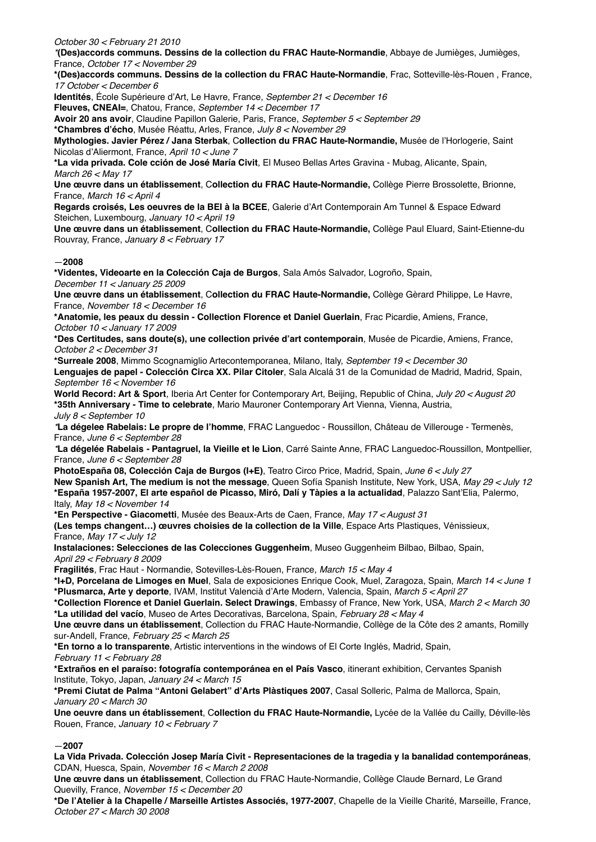*October 30 < February 21 2010*

*\****(Des)accords communs. Dessins de la collection du FRAC Haute-Normandie**, Abbaye de Jumièges, Jumièges, France, *October 17 < November 29*

**\*(Des)accords communs. Dessins de la collection du FRAC Haute-Normandie**, Frac, Sotteville-lès-Rouen , France, *17 October < December 6*

**Identités**, École Supérieure d'Art, Le Havre, France, *September 21 < December 16*

**Fleuves, CNEAI=**, Chatou, France, *September 14 < December 17*

**Avoir 20 ans avoir**, Claudine Papillon Galerie, Paris, France, *September 5 < September 29*

**\*Chambres d'écho**, Musée Réattu, Arles, France, *July 8 < November 29*

**Mythologies. Javier Pérez / Jana Sterbak**, C**ollection du FRAC Haute-Normandie,** Musée de l'Horlogerie, Saint Nicolas d'Aliermont, France, *April 10 < June 7*

**\*La vida privada. Cole cción de José María Civit**, El Museo Bellas Artes Gravina - Mubag, Alicante, Spain, *March 26 < May 17*

**Une œuvre dans un établissement**, C**ollection du FRAC Haute-Normandie,** Collège Pierre Brossolette, Brionne, France, *March 16 < April 4*

**Regards croisés, Les oeuvres de la BEI à la BCEE**, Galerie d'Art Contemporain Am Tunnel & Espace Edward Steichen, Luxembourg, *January 10 < April 19*

**Une œuvre dans un établissement**, C**ollection du FRAC Haute-Normandie,** Collège Paul Eluard, Saint-Etienne-du Rouvray, France, *January 8 < February 17*

# —**2008**

**\*Videntes, Videoarte en la Colección Caja de Burgos**, Sala Amós Salvador, Logroño, Spain,

*December 11 < January 25 2009*

**Une œuvre dans un établissement**, C**ollection du FRAC Haute-Normandie,** Collège Gèrard Philippe, Le Havre, France, *November 18 < December 16*

**\*Anatomie, les peaux du dessin - Collection Florence et Daniel Guerlain**, Frac Picardie, Amiens, France, *October 10 < January 17 2009*

**\*Des Certitudes, sans doute(s), une collection privée d'art contemporain**, Musée de Picardie, Amiens, France, *October 2 < December 31*

**\*Surreale 2008**, Mimmo Scognamiglio Artecontemporanea, Milano, Italy, *September 19 < December 30*

**Lenguajes de papel - Colección Circa XX. Pilar Citoler**, Sala Alcalá 31 de la Comunidad de Madrid, Madrid, Spain, *September 16 < November 16*

**World Record: Art & Sport**, Iberia Art Center for Contemporary Art, Beijing, Republic of China, *July 20 < August 20* **\*35th Anniversary - Time to celebrate**, Mario Mauroner Contemporary Art Vienna, Vienna, Austria, *July 8 < September 10*

*\****La dégelee Rabelais: Le propre de l'homme**, FRAC Languedoc - Roussillon, Château de Villerouge - Termenès, France, *June 6 < September 28*

*\****La dégelée Rabelais** *-* **Pantagruel, la Vieille et le Lion**, Carré Sainte Anne, FRAC Languedoc-Roussillon, Montpellier, France, *June 6 < September 28*

**PhotoEspaña 08, Colección Caja de Burgos (I+E)**, Teatro Circo Price, Madrid, Spain, *June 6 < July 27* **New Spanish Art, The medium is not the message**, Queen Sofía Spanish Institute, New York, USA, *May 29 < July 12* **\*España 1957-2007, El arte español de Picasso, Miró, Dalí y Tàpies a la actualidad**, Palazzo Sant'Elia, Palermo, Italy, *May 18 < November 14*

**\*En Perspective - Giacometti**, Musée des Beaux-Arts de Caen, France, *May 17 < August 31*

**(Les temps changent…) œuvres choisies de la collection de la Ville**, Espace Arts Plastiques, Vénissieux, France, *May 17 < July 12*

**Instalaciones: Selecciones de las Colecciones Guggenheim**, Museo Guggenheim Bilbao, Bilbao, Spain, *April 29 < February 8 2009*

**Fragilités**, Frac Haut - Normandie, Sotevilles-Lès-Rouen, France, *March 15 < May 4*

**\*I+D, Porcelana de Limoges en Muel**, Sala de exposiciones Enrique Cook, Muel, Zaragoza, Spain, *March 14 < June 1* **\*Plusmarca, Arte y deporte**, IVAM, Institut Valencià d'Arte Modern, Valencia, Spain, *March 5 < April 27*

**\*Collection Florence et Daniel Guerlain. Select Drawings**, Embassy of France, New York, USA, *March 2 < March 30* **\*La utilidad del vacío**, Museo de Artes Decorativas, Barcelona, Spain, *February 28 < May 4*

**Une œuvre dans un établissement**, Collection du FRAC Haute-Normandie, Collège de la Côte des 2 amants, Romilly sur-Andell, France, *February 25 < March 25*

**\*En torno a lo transparente**, Artistic interventions in the windows of El Corte Inglés, Madrid, Spain,

*February 11 < February 28*

**\*Extraños en el paraíso: fotografía contemporánea en el País Vasco**, itinerant exhibition, Cervantes Spanish Institute, Tokyo, Japan, *January 24 < March 15* 

**\*Premi Ciutat de Palma "Antoni Gelabert" d'Arts Plàstiques 2007**, Casal Solleric, Palma de Mallorca, Spain, *January 20 < March 30*

**Une oeuvre dans un établissement**, C**ollection du FRAC Haute-Normandie,** Lycée de la Vallée du Cailly, Déville-lès Rouen, France, *January 10 < February 7*

# —**2007**

**La Vida Privada. Colección Josep María Civit - Representaciones de la tragedia y la banalidad contemporáneas**, CDAN, Huesca, Spain, *November 16 < March 2 2008*

**Une œuvre dans un établissement**, Collection du FRAC Haute-Normandie, Collège Claude Bernard, Le Grand Quevilly, France, *November 15 < December 20*

**\*De l'Atelier à la Chapelle / Marseille Artistes Associés, 1977-2007**, Chapelle de la Vieille Charité, Marseille, France, *October 27 < March 30 2008*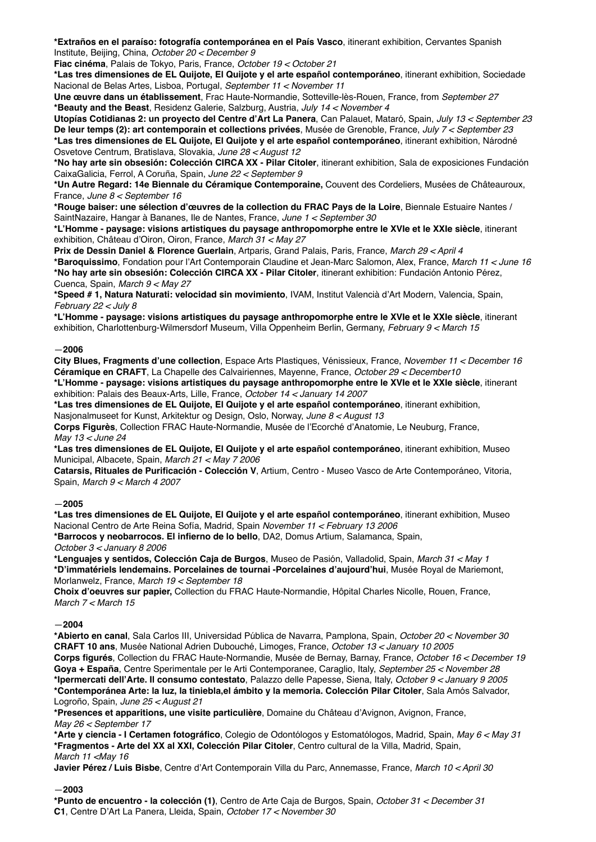**\*Extraños en el paraíso: fotografía contemporánea en el País Vasco**, itinerant exhibition, Cervantes Spanish Institute, Beijing, China, *October 20 < December 9*

**Fiac cinéma**, Palais de Tokyo, Paris, France, *October 19 < October 21*

**\*Las tres dimensiones de EL Quijote, El Quijote y el arte español contemporáneo**, itinerant exhibition, Sociedade Nacional de Belas Artes, Lisboa, Portugal, *September 11 < November 11*

**Une œuvre dans un établissement**, Frac Haute-Normandie, Sotteville-lès-Rouen, France, from *September 27* **\*Beauty and the Beast**, Residenz Galerie, Salzburg, Austria, *July 14 < November 4*

**Utopías Cotidianas 2: un proyecto del Centre d'Art La Panera**, Can Palauet, Mataró, Spain, *July 13 < September 23* **De leur temps (2): art contemporain et collections privées**, Musée de Grenoble, France, *July 7 < September 23* **\*Las tres dimensiones de EL Quijote, El Quijote y el arte español contemporáneo**, itinerant exhibition, Národné Osvetove Centrum, Bratislava, Slovakia, *June 28 < August 12*

**\*No hay arte sin obsesión: Colección CIRCA XX - Pilar Citoler**, itinerant exhibition, Sala de exposiciones Fundación CaixaGalicia, Ferrol, A Coruña, Spain, *June 22 < September 9*

**\*Un Autre Regard: 14e Biennale du Céramique Contemporaine,** Couvent des Cordeliers, Musées de Châteauroux, France, *June 8 < September 16*

**\*Rouge baiser: une sélection d'œuvres de la collection du FRAC Pays de la Loire**, Biennale Estuaire Nantes / SaintNazaire, Hangar à Bananes, Ile de Nantes, France, *June 1 < September 30*

**\*L'Homme - paysage: visions artistiques du paysage anthropomorphe entre le XVIe et le XXIe siècle**, itinerant exhibition, Château d'Oiron, Oiron, France, *March 31 < May 27*

**Prix de Dessin Daniel & Florence Guerlain**, Artparis, Grand Palais, Paris, France, *March 29 < April 4* **\*Baroquissimo**, Fondation pour l'Art Contemporain Claudine et Jean-Marc Salomon, Alex, France, *March 11 < June 16* **\*No hay arte sin obsesión: Colección CIRCA XX - Pilar Citoler**, itinerant exhibition: Fundación Antonio Pérez, Cuenca, Spain, *March 9 < May 27*

**\*Speed # 1, Natura Naturati: velocidad sin movimiento**, IVAM, Institut Valencià d'Art Modern, Valencia, Spain, *February 22 < July 8*

**\*L'Homme - paysage: visions artistiques du paysage anthropomorphe entre le XVIe et le XXIe siècle**, itinerant exhibition, Charlottenburg-Wilmersdorf Museum, Villa Oppenheim Berlin, Germany, *February 9 < March 15* 

# —**2006**

**City Blues, Fragments d'une collection**, Espace Arts Plastiques, Vénissieux, France, *November 11 < December 16* **Céramique en CRAFT**, La Chapelle des Calvairiennes, Mayenne, France, *October 29 < December10*

**\*L'Homme - paysage: visions artistiques du paysage anthropomorphe entre le XVIe et le XXIe siècle**, itinerant exhibition: Palais des Beaux-Arts, Lille, France, *October 14 < January 14 2007* 

**\*Las tres dimensiones de EL Quijote, El Quijote y el arte español contemporáneo**, itinerant exhibition,

Nasjonalmuseet for Kunst, Arkitektur og Design, Oslo, Norway, *June 8 < August 13* **Corps Figurès**, Collection FRAC Haute-Normandie, Musée de l'Ecorché d'Anatomie, Le Neuburg, France, *May 13 < June 24*

**\*Las tres dimensiones de EL Quijote, El Quijote y el arte español contemporáneo**, itinerant exhibition, Museo Municipal, Albacete, Spain, *March 21 < May 7 2006*

**Catarsis, Rituales de Purificación - Colección V**, Artium, Centro - Museo Vasco de Arte Contemporáneo, Vitoria, Spain, *March 9 < March 4 2007* 

## —**2005**

**\*Las tres dimensiones de EL Quijote, El Quijote y el arte español contemporáneo**, itinerant exhibition, Museo Nacional Centro de Arte Reina Sofía, Madrid, Spain *November 11 < February 13 2006*

**\*Barrocos y neobarrocos. El infierno de lo bello**, DA2, Domus Artium, Salamanca, Spain, *October 3 < January 8 2006*

**\*Lenguajes y sentidos, Colección Caja de Burgos**, Museo de Pasión, Valladolid, Spain, *March 31 < May 1* **\*D'immatériels lendemains. Porcelaines de tournai -Porcelaines d'aujourd'hui**, Musée Royal de Mariemont, Morlanwelz, France, *March 19 < September 18*

**Choix d'oeuvres sur papier,** Collection du FRAC Haute-Normandie, Hôpital Charles Nicolle, Rouen, France, *March 7 < March 15*

## —**2004**

**\*Abierto en canal**, Sala Carlos III, Universidad Pública de Navarra, Pamplona, Spain, *October 20 < November 30* **CRAFT 10 ans**, Musée National Adrien Dubouché, Limoges, France, *October 13 < January 10 2005*

**Corps figurés**, Collection du FRAC Haute-Normandie, Musée de Bernay, Barnay, France, *October 16 < December 19* **Goya + España**, Centre Sperimentale per le Arti Contemporanee, Caraglio, Italy, *September 25 < November 28* **\*Ipermercati dell'Arte. Il consumo contestato**, Palazzo delle Papesse, Siena, Italy, *October 9 < January 9 2005* **\*Contemporánea Arte: la luz, la tiniebla,el ámbito y la memoria. Colección Pilar Citoler**, Sala Amós Salvador, Logroño, Spain, *June 25 < August 21*

**\*Presences et apparitions, une visite particulière**, Domaine du Château d'Avignon, Avignon, France, *May 26 < September 17*

**\*Arte y ciencia - I Certamen fotográfico**, Colegio de Odontólogos y Estomatólogos, Madrid, Spain, *May 6 < May 31* **\*Fragmentos - Arte del XX al XXI, Colección Pilar Citoler**, Centro cultural de la Villa, Madrid, Spain, *March 11 <May 16*

**Javier Pérez / Luis Bisbe**, Centre d'Art Contemporain Villa du Parc, Annemasse, France, *March 10 < April 30*

# —**2003**

**\*Punto de encuentro - la colección (1)**, Centro de Arte Caja de Burgos, Spain, *October 31 < December 31* **C1**, Centre D'Art La Panera, Lleida, Spain, *October 17 < November 30*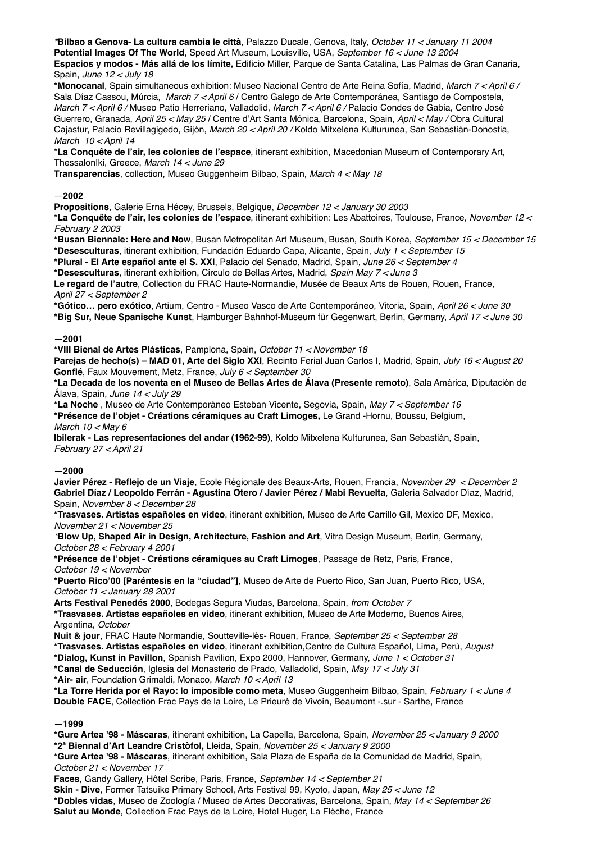*\****Bilbao a Genova- La cultura cambia le città**, Palazzo Ducale, Genova, Italy, *October 11 < January 11 2004* **Potential Images Of The World**, Speed Art Museum, Louisville, USA, *September 16 < June 13 2004* **Espacios y modos - Más allá de los límite,** Edificio Miller, Parque de Santa Catalina, Las Palmas de Gran Canaria, Spain, *June 12 < July 18*

**\*Monocanal**, Spain simultaneous exhibition: Museo Nacional Centro de Arte Reina Sofía, Madrid, *March 7 < April 6 /*  Sala Díaz Cassou, Múrcia, *March 7 < April 6* / Centro Galego de Arte Contemporánea, Santiago de Compostela, *March 7 < April 6 /* Museo Patio Herreriano, Valladolid, *March 7 < April 6 /* Palacio Condes de Gabia, Centro José Guerrero, Granada, *April 25 < May 25* / Centre d'Art Santa Mónica, Barcelona, Spain, *April < May /* Obra Cultural Cajastur, Palacio Revillagigedo, Gijón, *March 20 < April 20 /* Koldo Mitxelena Kulturunea, San Sebastián-Donostia, *March 10 < April 14*

\***La Conquête de l'air, les colonies de l'espace**, itinerant exhibition, Macedonian Museum of Contemporary Art, Thessaloníki, Greece, *March 14 < June 29*

**Transparencias**, collection, Museo Guggenheim Bilbao, Spain, *March 4 < May 18*

# —**2002**

**Propositions**, Galerie Erna Hécey, Brussels, Belgique, *December 12 < January 30 2003* \***La Conquête de l'air, les colonies de l'espace**, itinerant exhibition: Les Abattoires, Toulouse, France, *November 12 <*

*February 2 2003*

**\*Busan Biennale: Here and Now**, Busan Metropolitan Art Museum, Busan, South Korea, *September 15 < December 15* **\*Desesculturas**, itinerant exhibition, Fundación Eduardo Capa, Alicante, Spain, *July 1 < September 15*

**\*Plural - El Arte español ante el S. XXI**, Palacio del Senado, Madrid, Spain*, June 26 < September 4*

**\*Desesculturas**, itinerant exhibition, Circulo de Bellas Artes, Madrid, *Spain May 7 < June 3*

**Le regard de l'autre**, Collection du FRAC Haute-Normandie, Musée de Beaux Arts de Rouen, Rouen, France, *April 27 < September 2*

**\*Gótico… pero exótico**, Artium, Centro - Museo Vasco de Arte Contemporáneo, Vitoria, Spain, *April 26 < June 30* **\*Big Sur, Neue Spanische Kunst**, Hamburger Bahnhof-Museum für Gegenwart, Berlin, Germany, *April 17 < June 30*

# —**2001**

**\*VIII Bienal de Artes Plásticas**, Pamplona, Spain, *October 11 < November 18*

**Parejas de hecho(s) – MAD 01, Arte del Siglo XXI**, Recinto Ferial Juan Carlos I, Madrid, Spain, *July 16 < August 20* **Gonflé**, Faux Mouvement, Metz, France, *July 6 < September 30*

**\*La Decada de los noventa en el Museo de Bellas Artes de Álava (Presente remoto)**, Sala Amárica, Diputación de Álava, Spain, *June 14 < July 29*

**\*La Noche** , Museo de Arte Contemporáneo Esteban Vicente, Segovia, Spain, *May 7 < September 16* **\*Présence de l'objet - Créations céramiques au Craft Limoges,** Le Grand -Hornu, Boussu, Belgium, *March 10 < May 6*

**Ibilerak - Las representaciones del andar (1962-99)**, Koldo Mitxelena Kulturunea, San Sebastián, Spain, *February 27 < April 21*

—**2000**

**Javier Pérez - Reflejo de un Viaje**, Ecole Régionale des Beaux-Arts, Rouen, Francia, *November 29 < December 2* **Gabriel Díaz / Leopoldo Ferrán - Agustina Otero / Javier Pérez / Mabi Revuelta**, Galería Salvador Díaz, Madrid, Spain, *November 8 < December 28*

**\*Trasvases. Artistas españoles en video**, itinerant exhibition, Museo de Arte Carrillo Gil, Mexico DF, Mexico, *November 21 < November 25*

*\****Blow Up, Shaped Air in Design, Architecture, Fashion and Art**, Vitra Design Museum, Berlin, Germany, *October 28 < February 4 2001*

**\*Présence de l'objet - Créations céramiques au Craft Limoges**, Passage de Retz, Paris, France, *October 19 < November* 

**\*Puerto Rico'00 [Paréntesis en la "ciudad"]**, Museo de Arte de Puerto Rico, San Juan, Puerto Rico, USA, *October 11 < January 28 2001*

**Arts Festival Penedés 2000**, Bodegas Segura Viudas, Barcelona, Spain, *from October 7*

**\*Trasvases. Artistas españoles en video**, itinerant exhibition, Museo de Arte Moderno, Buenos Aires, Argentina, *October*

**Nuit & jour**, FRAC Haute Normandie, Soutteville-lès- Rouen, France, *September 25 < September 28*

**\*Trasvases. Artistas españoles en video**, itinerant exhibition,Centro de Cultura Español, Lima, Perú, *August*  **\*Dialog, Kunst in Pavillon**, Spanish Pavilion, Expo 2000, Hannover, Germany, *June 1 < October 31*

**\*Canal de Seducción**, Iglesia del Monasterio de Prado, Valladolid, Spain, *May 17 < July 31* **\*Air- air**, Foundation Grimaldi, Monaco, *March 10 < April 13*

**\*La Torre Herida por el Rayo: lo imposible como meta**, Museo Guggenheim Bilbao, Spain, *February 1 < June 4* **Double FACE**, Collection Frac Pays de la Loire, Le Prieuré de Vivoin, Beaumont -.sur - Sarthe, France

# —**1999**

**\*Gure Artea '98 - Máscaras**, itinerant exhibition, La Capella, Barcelona, Spain, *November 25 < January 9 2000* **\*2ª Biennal d'Art Leandre Cristòfol,** Lleida, Spain, *November 25 < January 9 2000*

**\*Gure Artea '98 - Máscaras**, itinerant exhibition, Sala Plaza de España de la Comunidad de Madrid, Spain, *October 21 < November 17*

**Faces**, Gandy Gallery, Hôtel Scribe, Paris, France, *September 14 < September 21* **Skin - Dive**, Former Tatsuike Primary School, Arts Festival 99, Kyoto, Japan, *May 25 < June 12* **\*Dobles vidas**, Museo de Zoología / Museo de Artes Decorativas, Barcelona, Spain, *May 14 < September 26* **Salut au Monde**, Collection Frac Pays de la Loire, Hotel Huger, La Flèche, France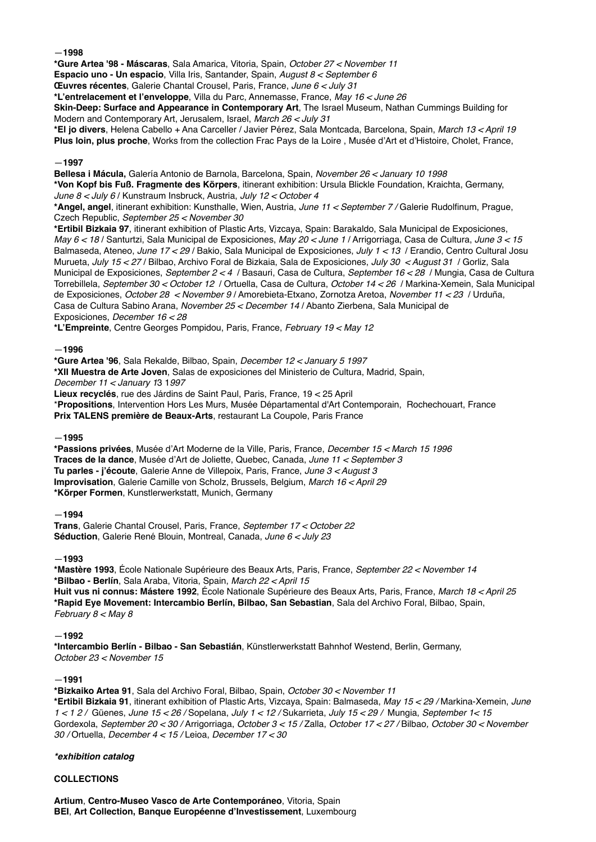—**1998**

**\*Gure Artea '98 - Máscaras**, Sala Amarica, Vitoria, Spain, *October 27 < November 11* 

**Espacio uno - Un espacio**, Villa Iris, Santander, Spain, *August 8 < September 6*

**Œuvres récentes**, Galerie Chantal Crousel, Paris, France, *June 6 < July 31*

**\*L'entrelacement et l'enveloppe**, Villa du Parc, Annemasse, France, *May 16 < June 26*

**Skin-Deep: Surface and Appearance in Contemporary Art**, The Israel Museum, Nathan Cummings Building for Modern and Contemporary Art, Jerusalem, Israel, *March 26 < July 31*

**\*El jo divers**, Helena Cabello + Ana Carceller / Javier Pérez, Sala Montcada, Barcelona, Spain, *March 13 < April 19* **Plus loin, plus proche**, Works from the collection Frac Pays de la Loire , Musée d'Art et d'Histoire, Cholet, France,

## —**1997**

**Bellesa i Mácula,** Galería Antonio de Barnola, Barcelona, Spain, *November 26 < January 10 1998* **\*Von Kopf bis Fuß. Fragmente des Körpers**, itinerant exhibition: Ursula Blickle Foundation, Kraichta, Germany, *June 8 < July 6* / Kunstraum Insbruck, Austria, *July 12 < October 4*

**\*Angel, angel**, itinerant exhibition: Kunsthalle, Wien, Austria, *June 11 < September 7 /* Galerie Rudolfinum, Prague, Czech Republic, *September 25 < November 30*

**\*Ertibil Bizkaia 97**, itinerant exhibition of Plastic Arts, Vizcaya, Spain: Barakaldo, Sala Municipal de Exposiciones, *May 6 < 18* / Santurtzi, Sala Municipal de Exposiciones, *May 20 < June 1* / Arrigorriaga, Casa de Cultura, *June 3 < 15* Balmaseda, Ateneo, *June 17 < 29* / Bakio, Sala Municipal de Exposiciones, *July 1 < 13* / Erandio, Centro Cultural Josu Murueta, *July 15 < 27* / Bilbao, Archivo Foral de Bizkaia, Sala de Exposiciones, *July 30 < August 31* / Gorliz, Sala Municipal de Exposiciones, *September 2 < 4* / Basauri, Casa de Cultura, *September 16 < 28* / Mungia, Casa de Cultura Torrebillela, *September 30 < October 12* / Ortuella, Casa de Cultura, *October 14 < 26* / Markina-Xemein, Sala Municipal de Exposiciones, *October 28 < November 9* / Amorebieta-Etxano, Zornotza Aretoa, *November 11 < 23* / Urduña, Casa de Cultura Sabino Arana, *November 25 < December 14* / Abanto Zierbena, Sala Municipal de Exposiciones, *December 16 < 28* 

**\*L'Empreinte**, Centre Georges Pompidou, Paris, France, *February 19 < May 12*

# —**1996**

**\*Gure Artea '96**, Sala Rekalde, Bilbao, Spain, *December 12 < January 5 1997* **\*XII Muestra de Arte Joven**, Salas de exposiciones del Ministerio de Cultura, Madrid, Spain,

*December 11 < January 1*3 1*997*

**Lieux recyclés**, rue des Járdins de Saint Paul, Paris, France, 19 < 25 April

\***Propositions**, Intervention Hors Les Murs, Musée Départamental d'Art Contemporain, Rochechouart, France **Prix TALENS première de Beaux-Arts**, restaurant La Coupole, Paris France

## —**1995**

**\*Passions privées**, Musée d'Art Moderne de la Ville, Paris, France, *December 15 < March 15 1996* **Traces de la dance**, Musée d'Art de Joliette, Quebec, Canada, *June 11 < September 3* **Tu parles - j'écoute**, Galerie Anne de Villepoix, Paris, France, *June 3 < August 3* **Improvisation**, Galerie Camille von Scholz, Brussels, Belgium, *March 16 < April 29* **\*Körper Formen**, Kunstlerwerkstatt, Munich, Germany

## —**1994**

**Trans**, Galerie Chantal Crousel, Paris, France, *September 17 < October 22* **Séduction**, Galerie René Blouin, Montreal, Canada, *June 6 < July 23*

## —**1993**

**\*Mastère 1993**, École Nationale Supérieure des Beaux Arts, Paris, France, *September 22 < November 14* **\*Bilbao - Berlín**, Sala Araba, Vitoria, Spain, *March 22 < April 15* **Huit vus ni connus: Mástere 1992**, École Nationale Supérieure des Beaux Arts, Paris, France, *March 18 < April 25* **\*Rapid Eye Movement: Intercambio Berlín, Bilbao, San Sebastian**, Sala del Archivo Foral, Bilbao, Spain, *February 8 < May 8*

## —**1992**

**\*Intercambio Berlín - Bilbao - San Sebastián**, Künstlerwerkstatt Bahnhof Westend, Berlin, Germany, *October 23 < November 15*

## —**1991**

**\*Bizkaiko Artea 91**, Sala del Archivo Foral, Bilbao, Spain, *October 30 < November 11* **\*Ertibil Bizkaia 91**, itinerant exhibition of Plastic Arts, Vizcaya, Spain: Balmaseda, *May 15 < 29 /* Markina-Xemein, *June 1 < 1 2 /* Güenes, *June 15 < 26 /* Sopelana, *July 1 < 12 /* Sukarrieta, *July 15 < 29 /* Mungia, *September 1< 15* Gordexola, *September 20 < 30 /* Arrigorriaga, *October 3 < 15 /* Zalla, *October 17 < 27 /* Bilbao*, October 30 < November 30 /* Ortuella, *December 4 < 15 /* Leioa, *December 17 < 30*

# *\*exhibition catalog*

# **COLLECTIONS**

**Artium**, **Centro-Museo Vasco de Arte Contemporáneo**, Vitoria, Spain **BEI**, **Art Collection, Banque Européenne d'Investissement**, Luxembourg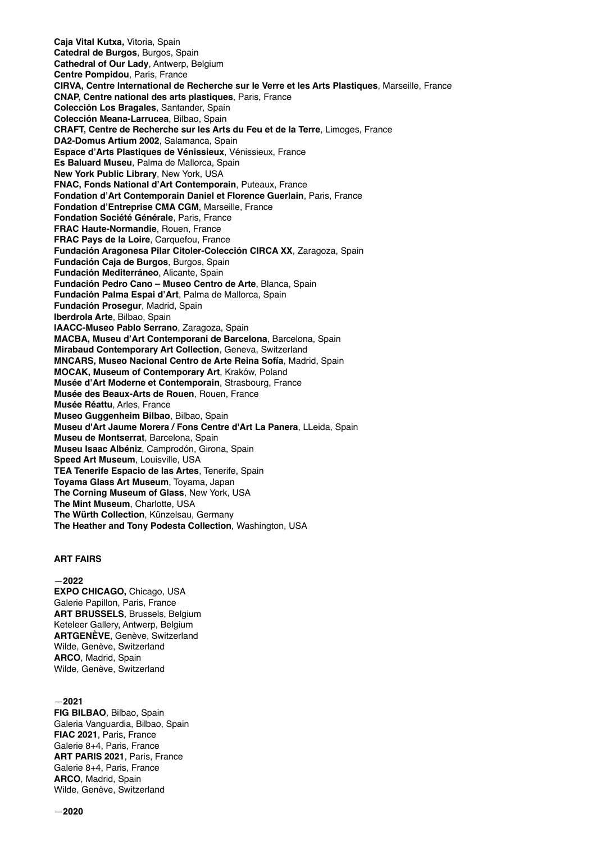**Caja Vital Kutxa***,* Vitoria, Spain **Catedral de Burgos**, Burgos, Spain **Cathedral of Our Lady**, Antwerp, Belgium **Centre Pompidou**, Paris, France **CIRVA, Centre International de Recherche sur le Verre et les Arts Plastiques**, Marseille, France **CNAP, Centre national des arts plastiques**, Paris, France **Colección Los Bragales**, Santander, Spain **Colección Meana-Larrucea**, Bilbao, Spain **CRAFT, Centre de Recherche sur les Arts du Feu et de la Terre**, Limoges, France **DA2-Domus Artium 2002**, Salamanca, Spain **Espace d'Arts Plastiques de Vénissieux**, Vénissieux, France **Es Baluard Museu**, Palma de Mallorca, Spain **New York Public Library**, New York, USA **FNAC, Fonds National d'Art Contemporain**, Puteaux, France **Fondation d'Art Contemporain Daniel et Florence Guerlain**, Paris, France **Fondation d'Entreprise CMA CGM**, Marseille, France **Fondation Société Générale**, Paris, France **FRAC Haute-Normandie**, Rouen, France **FRAC Pays de la Loire**, Carquefou, France **Fundación Aragonesa Pilar Citoler-Colección CIRCA XX**, Zaragoza, Spain **Fundación Caja de Burgos**, Burgos, Spain **Fundación Mediterráneo**, Alicante, Spain **Fundación Pedro Cano – Museo Centro de Arte**, Blanca, Spain **Fundación Palma Espai d'Art**, Palma de Mallorca, Spain **Fundación Prosegur**, Madrid, Spain **Iberdrola Arte**, Bilbao, Spain **IAACC-Museo Pablo Serrano**, Zaragoza, Spain **MACBA, Museu d'Art Contemporani de Barcelona**, Barcelona, Spain **Mirabaud Contemporary Art Collection**, Geneva, Switzerland **MNCARS, Museo Nacional Centro de Arte Reina Sofía**, Madrid, Spain **MOCAK, Museum of Contemporary Art**, Kraków, Poland **Musée d'Art Moderne et Contemporain**, Strasbourg, France **Musée des Beaux-Arts de Rouen**, Rouen, France **Musée Réattu**, Arles, France **Museo Guggenheim Bilbao**, Bilbao, Spain **Museu d'Art Jaume Morera / Fons Centre d'Art La Panera**, LLeida, Spain **Museu de Montserrat**, Barcelona, Spain **Museu Isaac Albéniz**, Camprodón, Girona, Spain **Speed Art Museum**, Louisville, USA **TEA Tenerife Espacio de las Artes**, Tenerife, Spain **Toyama Glass Art Museum**, Toyama, Japan **The Corning Museum of Glass**, New York, USA **The Mint Museum**, Charlotte, USA **The Würth Collection**, Künzelsau, Germany **The Heather and Tony Podesta Collection**, Washington, USA

#### **ART FAIRS**

—**2022**

**EXPO CHICAGO,** Chicago, USA Galerie Papillon, Paris, France **ART BRUSSELS**, Brussels, Belgium Keteleer Gallery, Antwerp, Belgium **ARTGENÈVE**, Genève, Switzerland Wilde, Genève, Switzerland **ARCO**, Madrid, Spain Wilde, Genève, Switzerland

—**2021 FIG BILBAO**, Bilbao, Spain Galeria Vanguardia, Bilbao, Spain **FIAC 2021**, Paris, France Galerie 8+4, Paris, France **ART PARIS 2021**, Paris, France Galerie 8+4, Paris, France **ARCO**, Madrid, Spain Wilde, Genève, Switzerland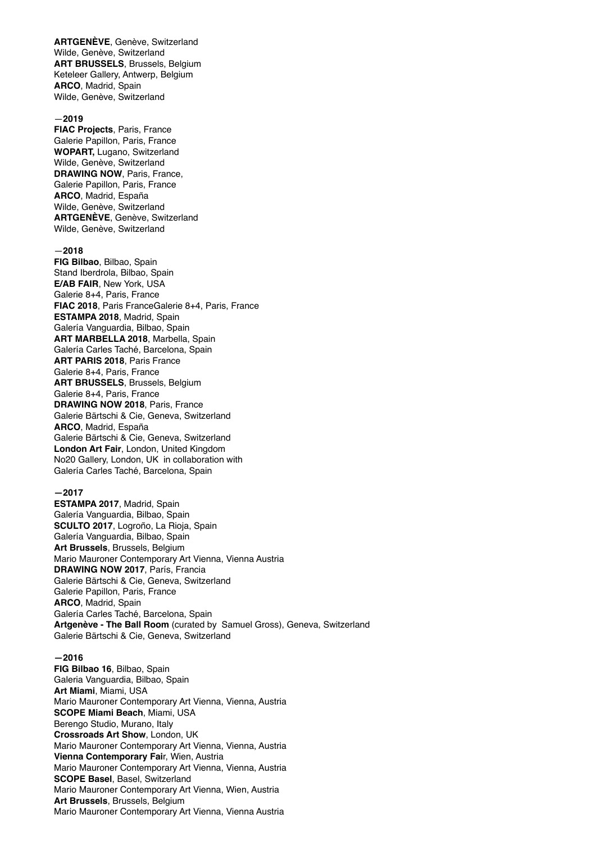**ARTGENÈVE**, Genève, Switzerland Wilde, Genève, Switzerland **ART BRUSSELS**, Brussels, Belgium Keteleer Gallery, Antwerp, Belgium **ARCO**, Madrid, Spain Wilde, Genève, Switzerland

#### —**2019**

**FIAC Projects**, Paris, France Galerie Papillon, Paris, France **WOPART,** Lugano, Switzerland Wilde, Genève, Switzerland **DRAWING NOW**, Paris, France, Galerie Papillon, Paris, France **ARCO**, Madrid, España Wilde, Genève, Switzerland **ARTGENÈVE**, Genève, Switzerland Wilde, Genève, Switzerland

#### —**2018**

**FIG Bilbao**, Bilbao, Spain Stand Iberdrola, Bilbao, Spain **E/AB FAIR**, New York, USA Galerie 8+4, Paris, France **FIAC 2018**, Paris FranceGalerie 8+4, Paris, France **ESTAMPA 2018**, Madrid, Spain Galería Vanguardia, Bilbao, Spain **ART MARBELLA 2018**, Marbella, Spain Galería Carles Taché, Barcelona, Spain **ART PARIS 2018**, Paris France Galerie 8+4, Paris, France **ART BRUSSELS**, Brussels, Belgium Galerie 8+4, Paris, France **DRAWING NOW 2018**, Paris, France Galerie Bärtschi & Cie, Geneva, Switzerland **ARCO**, Madrid, España Galerie Bärtschi & Cie, Geneva, Switzerland **London Art Fair**, London, United Kingdom No20 Gallery, London, UK in collaboration with Galería Carles Taché, Barcelona, Spain

#### **—2017**

**ESTAMPA 2017**, Madrid, Spain Galería Vanguardia, Bilbao, Spain **SCULTO 2017**, Logroño, La Rioja, Spain Galería Vanguardia, Bilbao, Spain **Art Brussels**, Brussels, Belgium Mario Mauroner Contemporary Art Vienna, Vienna Austria **DRAWING NOW 2017**, París, Francia Galerie Bärtschi & Cie, Geneva, Switzerland Galerie Papillon, Paris, France **ARCO**, Madrid, Spain Galería Carles Taché, Barcelona, Spain **Artgenève - The Ball Room** (curated by Samuel Gross), Geneva, Switzerland Galerie Bärtschi & Cie, Geneva, Switzerland

#### **—2016**

**FIG Bilbao 16**, Bilbao, Spain Galeria Vanguardia, Bilbao, Spain **Art Miami**, Miami, USA Mario Mauroner Contemporary Art Vienna, Vienna, Austria **SCOPE Miami Beach**, Miami, USA Berengo Studio, Murano, Italy **Crossroads Art Show**, London, UK Mario Mauroner Contemporary Art Vienna, Vienna, Austria **Vienna Contemporary Fai**r, Wien, Austria Mario Mauroner Contemporary Art Vienna, Vienna, Austria **SCOPE Basel**, Basel, Switzerland Mario Mauroner Contemporary Art Vienna, Wien, Austria **Art Brussels**, Brussels, Belgium Mario Mauroner Contemporary Art Vienna, Vienna Austria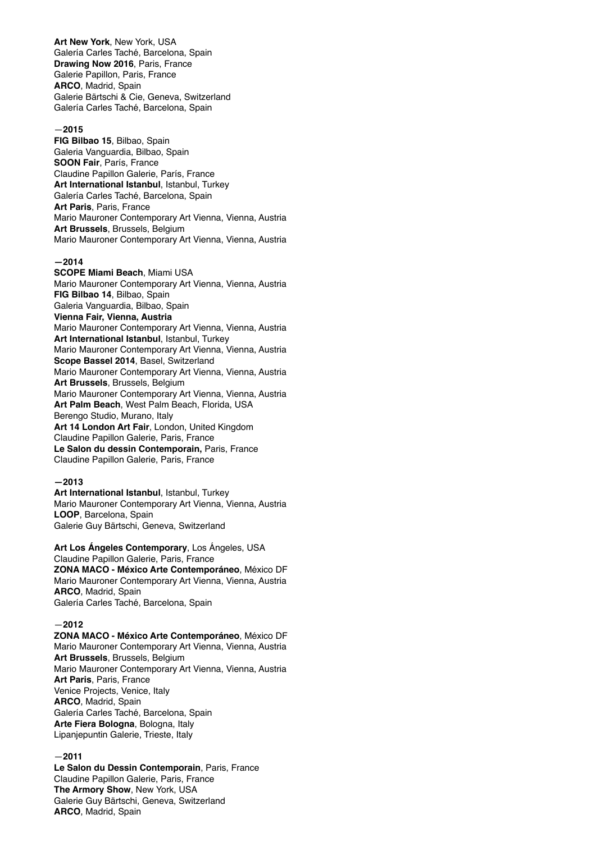**Art New York**, New York, USA Galería Carles Taché, Barcelona, Spain **Drawing Now 2016**, Paris, France Galerie Papillon, Paris, France **ARCO**, Madrid, Spain Galerie Bärtschi & Cie, Geneva, Switzerland Galería Carles Taché, Barcelona, Spain

## —**2015**

**FIG Bilbao 15**, Bilbao, Spain Galeria Vanguardia, Bilbao, Spain **SOON Fair**, París, France Claudine Papillon Galerie, París, France **Art International Istanbul**, Istanbul, Turkey Galería Carles Taché, Barcelona, Spain **Art Paris**, Paris, France Mario Mauroner Contemporary Art Vienna, Vienna, Austria **Art Brussels**, Brussels, Belgium Mario Mauroner Contemporary Art Vienna, Vienna, Austria

# **—2014**

**SCOPE Miami Beach**, Miami USA Mario Mauroner Contemporary Art Vienna, Vienna, Austria **FIG Bilbao 14**, Bilbao, Spain Galeria Vanguardia, Bilbao, Spain **Vienna Fair, Vienna, Austria** Mario Mauroner Contemporary Art Vienna, Vienna, Austria **Art International Istanbul**, Istanbul, Turkey Mario Mauroner Contemporary Art Vienna, Vienna, Austria **Scope Bassel 2014**, Basel, Switzerland Mario Mauroner Contemporary Art Vienna, Vienna, Austria **Art Brussels**, Brussels, Belgium Mario Mauroner Contemporary Art Vienna, Vienna, Austria **Art Palm Beach**, West Palm Beach, Florida, USA Berengo Studio, Murano, Italy **Art 14 London Art Fair**, London, United Kingdom Claudine Papillon Galerie, Paris, France **Le Salon du dessin Contemporain,** Paris, France Claudine Papillon Galerie, Paris, France

#### **—2013**

**Art International Istanbul**, Istanbul, Turkey Mario Mauroner Contemporary Art Vienna, Vienna, Austria **LOOP**, Barcelona, Spain Galerie Guy Bärtschi, Geneva, Switzerland

**Art Los Ángeles Contemporary**, Los Ángeles, USA Claudine Papillon Galerie, Paris, France **ZONA MACO - México Arte Contemporáneo**, México DF Mario Mauroner Contemporary Art Vienna, Vienna, Austria **ARCO**, Madrid, Spain Galería Carles Taché, Barcelona, Spain

#### —**2012**

**ZONA MACO - México Arte Contemporáneo**, México DF Mario Mauroner Contemporary Art Vienna, Vienna, Austria **Art Brussels**, Brussels, Belgium Mario Mauroner Contemporary Art Vienna, Vienna, Austria **Art Paris**, Paris, France Venice Projects, Venice, Italy **ARCO**, Madrid, Spain Galería Carles Taché, Barcelona, Spain **Arte Fiera Bologna**, Bologna, Italy Lipanjepuntin Galerie, Trieste, Italy

#### —**2011**

**Le Salon du Dessin Contemporain**, Paris, France Claudine Papillon Galerie, Paris, France **The Armory Show**, New York, USA Galerie Guy Bärtschi, Geneva, Switzerland **ARCO**, Madrid, Spain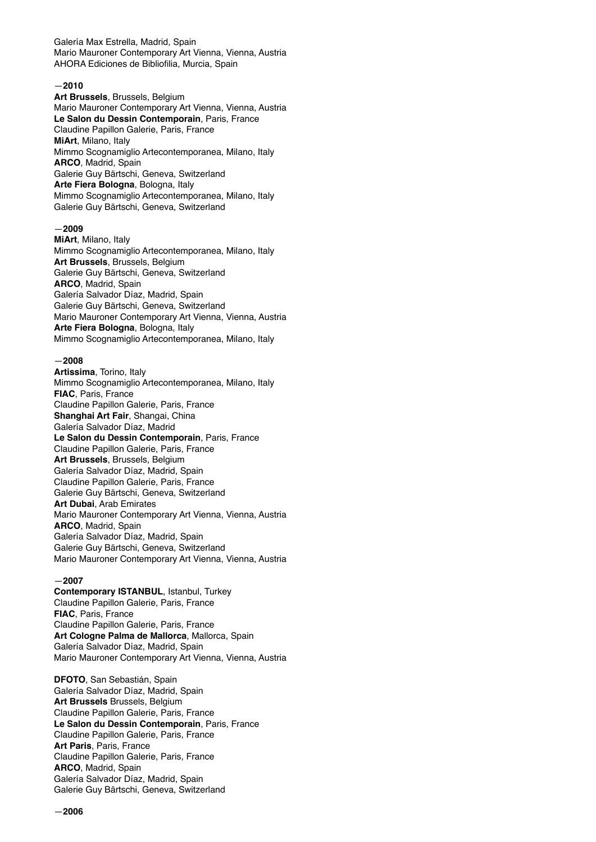Galería Max Estrella, Madrid, Spain Mario Mauroner Contemporary Art Vienna, Vienna, Austria AHORA Ediciones de Bibliofilia, Murcia, Spain

## —**2010**

**Art Brussels**, Brussels, Belgium Mario Mauroner Contemporary Art Vienna, Vienna, Austria **Le Salon du Dessin Contemporain**, Paris, France Claudine Papillon Galerie, Paris, France **MiArt**, Milano, Italy Mimmo Scognamiglio Artecontemporanea, Milano, Italy **ARCO**, Madrid, Spain Galerie Guy Bärtschi, Geneva, Switzerland **Arte Fiera Bologna**, Bologna, Italy Mimmo Scognamiglio Artecontemporanea, Milano, Italy Galerie Guy Bärtschi, Geneva, Switzerland

#### —**2009**

**MiArt**, Milano, Italy Mimmo Scognamiglio Artecontemporanea, Milano, Italy **Art Brussels**, Brussels, Belgium Galerie Guy Bärtschi, Geneva, Switzerland **ARCO**, Madrid, Spain Galería Salvador Díaz, Madrid, Spain Galerie Guy Bärtschi, Geneva, Switzerland Mario Mauroner Contemporary Art Vienna, Vienna, Austria **Arte Fiera Bologna**, Bologna, Italy Mimmo Scognamiglio Artecontemporanea, Milano, Italy

#### —**2008**

**Artissima**, Torino, Italy Mimmo Scognamiglio Artecontemporanea, Milano, Italy **FIAC**, Paris, France Claudine Papillon Galerie, Paris, France **Shanghai Art Fair**, Shangai, China Galería Salvador Díaz, Madrid **Le Salon du Dessin Contemporain**, Paris, France Claudine Papillon Galerie, Paris, France **Art Brussels**, Brussels, Belgium Galería Salvador Díaz, Madrid, Spain Claudine Papillon Galerie, Paris, France Galerie Guy Bärtschi, Geneva, Switzerland **Art Dubai**, Arab Emirates Mario Mauroner Contemporary Art Vienna, Vienna, Austria **ARCO**, Madrid, Spain Galería Salvador Díaz, Madrid, Spain Galerie Guy Bärtschi, Geneva, Switzerland Mario Mauroner Contemporary Art Vienna, Vienna, Austria

#### —**2007**

**Contemporary ISTANBUL**, Istanbul, Turkey Claudine Papillon Galerie, Paris, France **FIAC**, Paris, France Claudine Papillon Galerie, Paris, France **Art Cologne Palma de Mallorca**, Mallorca, Spain Galería Salvador Díaz, Madrid, Spain Mario Mauroner Contemporary Art Vienna, Vienna, Austria

**DFOTO**, San Sebastián, Spain Galería Salvador Díaz, Madrid, Spain **Art Brussels** Brussels, Belgium Claudine Papillon Galerie, Paris, France **Le Salon du Dessin Contemporain**, Paris, France Claudine Papillon Galerie, Paris, France **Art Paris**, Paris, France Claudine Papillon Galerie, Paris, France **ARCO**, Madrid, Spain Galería Salvador Díaz, Madrid, Spain Galerie Guy Bärtschi, Geneva, Switzerland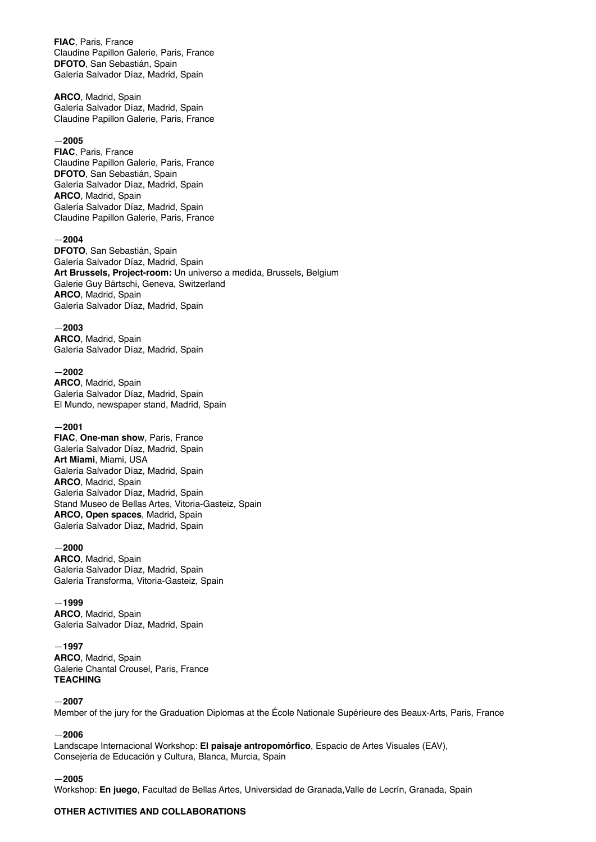**FIAC**, Paris, France Claudine Papillon Galerie, Paris, France **DFOTO**, San Sebastián, Spain Galería Salvador Díaz, Madrid, Spain

**ARCO**, Madrid, Spain Galería Salvador Díaz, Madrid, Spain Claudine Papillon Galerie, Paris, France

#### —**2005**

**FIAC**, Paris, France Claudine Papillon Galerie, Paris, France **DFOTO**, San Sebastián, Spain Galería Salvador Díaz, Madrid, Spain **ARCO**, Madrid, Spain Galería Salvador Díaz, Madrid, Spain Claudine Papillon Galerie, Paris, France

#### —**2004**

**DFOTO**, San Sebastián, Spain Galería Salvador Díaz, Madrid, Spain **Art Brussels, Project-room:** Un universo a medida, Brussels, Belgium Galerie Guy Bärtschi, Geneva, Switzerland **ARCO**, Madrid, Spain Galería Salvador Díaz, Madrid, Spain

—**2003**

**ARCO**, Madrid, Spain Galería Salvador Díaz, Madrid, Spain

#### —**2002**

**ARCO**, Madrid, Spain Galería Salvador Díaz, Madrid, Spain El Mundo, newspaper stand, Madrid, Spain

#### —**2001**

**FIAC**, **One-man show**, Paris, France Galería Salvador Díaz, Madrid, Spain **Art Miami**, Miami, USA Galería Salvador Díaz, Madrid, Spain **ARCO**, Madrid, Spain Galería Salvador Díaz, Madrid, Spain Stand Museo de Bellas Artes, Vitoria-Gasteiz, Spain **ARCO, Open spaces**, Madrid, Spain Galería Salvador Díaz, Madrid, Spain

# —**2000**

**ARCO**, Madrid, Spain Galería Salvador Díaz, Madrid, Spain Galería Transforma, Vitoria-Gasteiz, Spain

#### —**1999**

**ARCO**, Madrid, Spain Galería Salvador Díaz, Madrid, Spain

—**1997 ARCO**, Madrid, Spain Galerie Chantal Crousel, Paris, France **TEACHING**

#### —**2007**

Member of the jury for the Graduation Diplomas at the École Nationale Supérieure des Beaux-Arts, Paris, France

#### —**2006**

Landscape Internacional Workshop: **El paisaje antropomórfico**, Espacio de Artes Visuales (EAV), Consejería de Educación y Cultura, Blanca, Murcia, Spain

#### —**2005**

Workshop: **En juego**, Facultad de Bellas Artes, Universidad de Granada,Valle de Lecrín, Granada, Spain

#### **OTHER ACTIVITIES AND COLLABORATIONS**